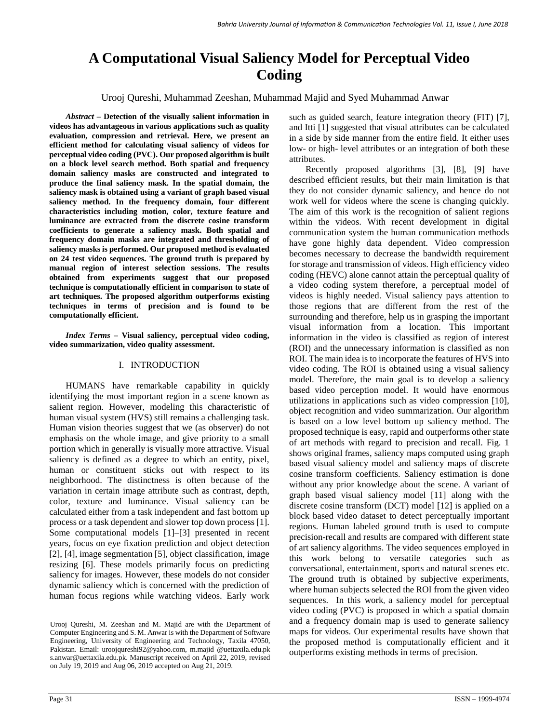# **A Computational Visual Saliency Model for Perceptual Video Coding**

Urooj Qureshi, Muhammad Zeeshan, Muhammad Majid and Syed Muhammad Anwar

*Abstract –* **Detection of the visually salient information in videos has advantageous in various applications such as quality evaluation, compression and retrieval. Here, we present an efficient method for calculating visual saliency of videos for perceptual video coding (PVC). Our proposed algorithm is built on a block level search method. Both spatial and frequency domain saliency masks are constructed and integrated to produce the final saliency mask. In the spatial domain, the saliency mask is obtained using a variant of graph based visual saliency method. In the frequency domain, four different characteristics including motion, color, texture feature and luminance are extracted from the discrete cosine transform coefficients to generate a saliency mask. Both spatial and frequency domain masks are integrated and thresholding of saliency masks is performed. Our proposed method is evaluated on 24 test video sequences. The ground truth is prepared by manual region of interest selection sessions. The results obtained from experiments suggest that our proposed technique is computationally efficient in comparison to state of art techniques. The proposed algorithm outperforms existing techniques in terms of precision and is found to be computationally efficient.**

*Index Terms –* **Visual saliency, perceptual video coding, video summarization, video quality assessment.**

## I. INTRODUCTION

HUMANS have remarkable capability in quickly identifying the most important region in a scene known as salient region. However, modeling this characteristic of human visual system (HVS) still remains a challenging task. Human vision theories suggest that we (as observer) do not emphasis on the whole image, and give priority to a small portion which in generally is visually more attractive. Visual saliency is defined as a degree to which an entity, pixel, human or constituent sticks out with respect to its neighborhood. The distinctness is often because of the variation in certain image attribute such as contrast, depth, color, texture and luminance. Visual saliency can be calculated either from a task independent and fast bottom up process or a task dependent and slower top down process [1]. Some computational models [1]–[3] presented in recent years, focus on eye fixation prediction and object detection [2], [4], image segmentation [5], object classification, image resizing [6]. These models primarily focus on predicting saliency for images. However, these models do not consider dynamic saliency which is concerned with the prediction of human focus regions while watching videos. Early work such as guided search, feature integration theory (FIT) [7], and Itti [1] suggested that visual attributes can be calculated in a side by side manner from the entire field. It either uses low- or high- level attributes or an integration of both these attributes.

Recently proposed algorithms [3], [8], [9] have described efficient results, but their main limitation is that they do not consider dynamic saliency, and hence do not work well for videos where the scene is changing quickly. The aim of this work is the recognition of salient regions within the videos. With recent development in digital communication system the human communication methods have gone highly data dependent. Video compression becomes necessary to decrease the bandwidth requirement for storage and transmission of videos. High efficiency video coding (HEVC) alone cannot attain the perceptual quality of a video coding system therefore, a perceptual model of videos is highly needed. Visual saliency pays attention to those regions that are different from the rest of the surrounding and therefore, help us in grasping the important visual information from a location. This important information in the video is classified as region of interest (ROI) and the unnecessary information is classified as non ROI. The main idea is to incorporate the features of HVS into video coding. The ROI is obtained using a visual saliency model. Therefore, the main goal is to develop a saliency based video perception model. It would have enormous utilizations in applications such as video compression [10], object recognition and video summarization. Our algorithm is based on a low level bottom up saliency method. The proposed technique is easy, rapid and outperforms other state of art methods with regard to precision and recall. Fig. 1 shows original frames, saliency maps computed using graph based visual saliency model and saliency maps of discrete cosine transform coefficients. Saliency estimation is done without any prior knowledge about the scene. A variant of graph based visual saliency model [11] along with the discrete cosine transform (DCT) model [12] is applied on a block based video dataset to detect perceptually important regions. Human labeled ground truth is used to compute precision-recall and results are compared with different state of art saliency algorithms. The video sequences employed in this work belong to versatile categories such as conversational, entertainment, sports and natural scenes etc. The ground truth is obtained by subjective experiments, where human subjects selected the ROI from the given video sequences. In this work, a saliency model for perceptual video coding (PVC) is proposed in which a spatial domain and a frequency domain map is used to generate saliency maps for videos. Our experimental results have shown that the proposed method is computationally efficient and it outperforms existing methods in terms of precision.

Urooj Qureshi, M. Zeeshan and M. Majid are with the Department of Computer Engineering and S. M. Anwar is with the Department of Software Engineering, University of Engineering and Technology, Taxila 47050, Pakistan. Email: uroojqureshi92@yahoo.com, m.majid @uettaxila.edu.pk s.anwar@uettaxila.edu.pk. Manuscript received on April 22, 2019, revised on July 19, 2019 and Aug 06, 2019 accepted on Aug 21, 2019.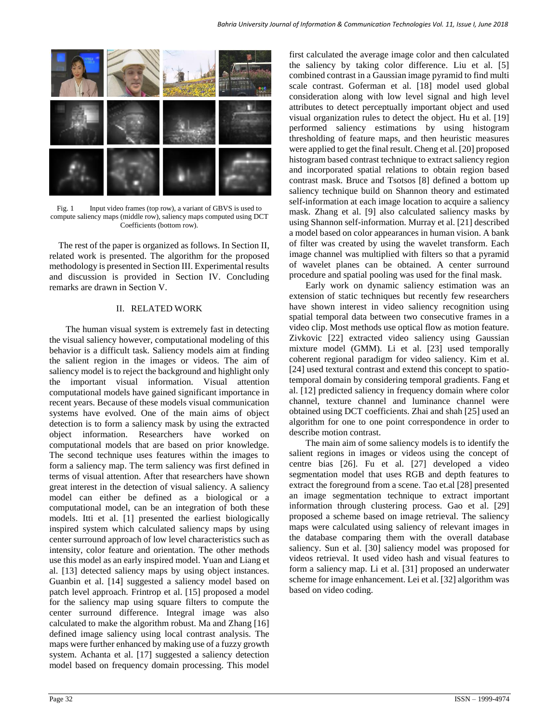

Fig. 1 Input video frames (top row), a variant of GBVS is used to compute saliency maps (middle row), saliency maps computed using DCT Coefficients (bottom row).

The rest of the paper is organized as follows. In Section II, related work is presented. The algorithm for the proposed methodology is presented in Section III. Experimental results and discussion is provided in Section IV. Concluding remarks are drawn in Section V.

### II. RELATED WORK

The human visual system is extremely fast in detecting the visual saliency however, computational modeling of this behavior is a difficult task. Saliency models aim at finding the salient region in the images or videos. The aim of saliency model is to reject the background and highlight only the important visual information. Visual attention computational models have gained significant importance in recent years. Because of these models visual communication systems have evolved. One of the main aims of object detection is to form a saliency mask by using the extracted object information. Researchers have worked on computational models that are based on prior knowledge. The second technique uses features within the images to form a saliency map. The term saliency was first defined in terms of visual attention. After that researchers have shown great interest in the detection of visual saliency. A saliency model can either be defined as a biological or a computational model, can be an integration of both these models. Itti et al. [1] presented the earliest biologically inspired system which calculated saliency maps by using center surround approach of low level characteristics such as intensity, color feature and orientation. The other methods use this model as an early inspired model. Yuan and Liang et al. [13] detected saliency maps by using object instances. Guanbin et al. [14] suggested a saliency model based on patch level approach. Frintrop et al. [15] proposed a model for the saliency map using square filters to compute the center surround difference. Integral image was also calculated to make the algorithm robust. Ma and Zhang [16] defined image saliency using local contrast analysis. The maps were further enhanced by making use of a fuzzy growth system. Achanta et al. [17] suggested a saliency detection model based on frequency domain processing. This model

first calculated the average image color and then calculated the saliency by taking color difference. Liu et al. [5] combined contrast in a Gaussian image pyramid to find multi scale contrast. Goferman et al. [18] model used global consideration along with low level signal and high level attributes to detect perceptually important object and used visual organization rules to detect the object. Hu et al. [19] performed saliency estimations by using histogram thresholding of feature maps, and then heuristic measures were applied to get the final result. Cheng et al. [20] proposed histogram based contrast technique to extract saliency region and incorporated spatial relations to obtain region based contrast mask. Bruce and Tsotsos [8] defined a bottom up saliency technique build on Shannon theory and estimated self-information at each image location to acquire a saliency mask. Zhang et al. [9] also calculated saliency masks by using Shannon self-information. Murray et al. [21] described a model based on color appearances in human vision. A bank of filter was created by using the wavelet transform. Each image channel was multiplied with filters so that a pyramid of wavelet planes can be obtained. A center surround procedure and spatial pooling was used for the final mask.

Early work on dynamic saliency estimation was an extension of static techniques but recently few researchers have shown interest in video saliency recognition using spatial temporal data between two consecutive frames in a video clip. Most methods use optical flow as motion feature. Zivkovic [22] extracted video saliency using Gaussian mixture model (GMM). Li et al. [23] used temporally coherent regional paradigm for video saliency. Kim et al. [24] used textural contrast and extend this concept to spatiotemporal domain by considering temporal gradients. Fang et al. [12] predicted saliency in frequency domain where color channel, texture channel and luminance channel were obtained using DCT coefficients. Zhai and shah [25] used an algorithm for one to one point correspondence in order to describe motion contrast.

The main aim of some saliency models is to identify the salient regions in images or videos using the concept of centre bias [26]. Fu et al. [27] developed a video segmentation model that uses RGB and depth features to extract the foreground from a scene. Tao et.al [28] presented an image segmentation technique to extract important information through clustering process. Gao et al. [29] proposed a scheme based on image retrieval. The saliency maps were calculated using saliency of relevant images in the database comparing them with the overall database saliency. Sun et al. [30] saliency model was proposed for videos retrieval. It used video hash and visual features to form a saliency map. Li et al. [31] proposed an underwater scheme for image enhancement. Lei et al. [32] algorithm was based on video coding.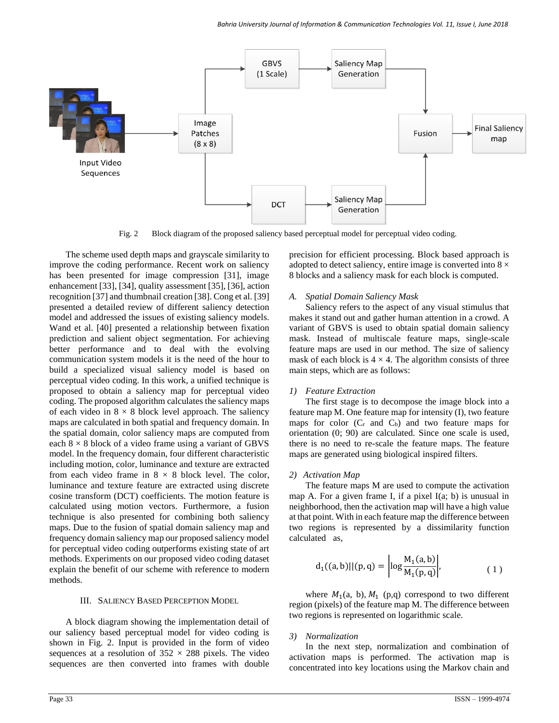

Fig. 2 Block diagram of the proposed saliency based perceptual model for perceptual video coding.

The scheme used depth maps and grayscale similarity to improve the coding performance. Recent work on saliency has been presented for image compression [31], image enhancement [33], [34], quality assessment [35], [36], action recognition [37] and thumbnail creation [38]. Cong et al. [39] presented a detailed review of different saliency detection model and addressed the issues of existing saliency models. Wand et al. [40] presented a relationship between fixation prediction and salient object segmentation. For achieving better performance and to deal with the evolving communication system models it is the need of the hour to build a specialized visual saliency model is based on perceptual video coding. In this work, a unified technique is proposed to obtain a saliency map for perceptual video coding. The proposed algorithm calculates the saliency maps of each video in  $8 \times 8$  block level approach. The saliency maps are calculated in both spatial and frequency domain. In the spatial domain, color saliency maps are computed from each  $8 \times 8$  block of a video frame using a variant of GBVS model. In the frequency domain, four different characteristic including motion, color, luminance and texture are extracted from each video frame in  $8 \times 8$  block level. The color, luminance and texture feature are extracted using discrete cosine transform (DCT) coefficients. The motion feature is calculated using motion vectors. Furthermore, a fusion technique is also presented for combining both saliency maps. Due to the fusion of spatial domain saliency map and frequency domain saliency map our proposed saliency model for perceptual video coding outperforms existing state of art methods. Experiments on our proposed video coding dataset explain the benefit of our scheme with reference to modern methods.

#### III. SALIENCY BASED PERCEPTION MODEL

A block diagram showing the implementation detail of our saliency based perceptual model for video coding is shown in Fig. 2. Input is provided in the form of video sequences at a resolution of  $352 \times 288$  pixels. The video sequences are then converted into frames with double precision for efficient processing. Block based approach is adopted to detect saliency, entire image is converted into  $8 \times$ 8 blocks and a saliency mask for each block is computed.

#### *A. Spatial Domain Saliency Mask*

Saliency refers to the aspect of any visual stimulus that makes it stand out and gather human attention in a crowd. A variant of GBVS is used to obtain spatial domain saliency mask. Instead of multiscale feature maps, single-scale feature maps are used in our method. The size of saliency mask of each block is  $4 \times 4$ . The algorithm consists of three main steps, which are as follows:

#### *1) Feature Extraction*

The first stage is to decompose the image block into a feature map M. One feature map for intensity (I), two feature maps for color  $(C_r$  and  $C_b)$  and two feature maps for orientation (0; 90) are calculated. Since one scale is used, there is no need to re-scale the feature maps. The feature maps are generated using biological inspired filters.

#### *2) Activation Map*

The feature maps M are used to compute the activation map A. For a given frame I, if a pixel  $I(a; b)$  is unusual in neighborhood, then the activation map will have a high value at that point. With in each feature map the difference between two regions is represented by a dissimilarity function calculated as,

$$
d_1((a, b)||(p, q) = \left| \log \frac{M_1(a, b)}{M_1(p, q)} \right|, \tag{1}
$$

where  $M_1(a, b)$ ,  $M_1(p,q)$  correspond to two different region (pixels) of the feature map M. The difference between two regions is represented on logarithmic scale.

#### *3) Normalization*

In the next step, normalization and combination of activation maps is performed. The activation map is concentrated into key locations using the Markov chain and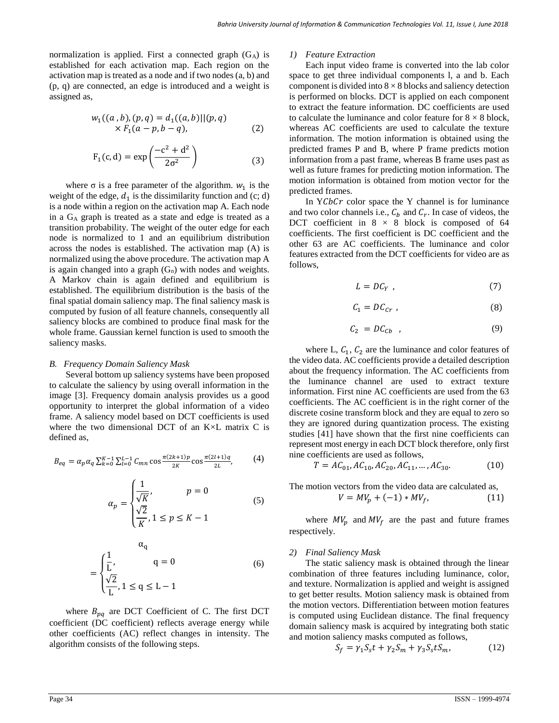normalization is applied. First a connected graph  $(G_A)$  is established for each activation map. Each region on the activation map is treated as a node and if two nodes (a, b) and (p, q) are connected, an edge is introduced and a weight is assigned as,

$$
w_1((a, b), (p, q) = d_1((a, b)) | (p, q)
$$
  
× F<sub>1</sub>(a - p, b - q), (2)

$$
F_1(c, d) = \exp\left(\frac{-c^2 + d^2}{2\sigma^2}\right)
$$
 (3)

where  $\sigma$  is a free parameter of the algorithm.  $w_1$  is the weight of the edge,  $d_1$  is the dissimilarity function and (c; d) is a node within a region on the activation map A. Each node in a G<sup>A</sup> graph is treated as a state and edge is treated as a transition probability. The weight of the outer edge for each node is normalized to 1 and an equilibrium distribution across the nodes is established. The activation map (A) is normalized using the above procedure. The activation map A is again changed into a graph  $(G_n)$  with nodes and weights. A Markov chain is again defined and equilibrium is established. The equilibrium distribution is the basis of the final spatial domain saliency map. The final saliency mask is computed by fusion of all feature channels, consequently all saliency blocks are combined to produce final mask for the whole frame. Gaussian kernel function is used to smooth the saliency masks.

#### *B. Frequency Domain Saliency Mask*

Several bottom up saliency systems have been proposed to calculate the saliency by using overall information in the image [3]. Frequency domain analysis provides us a good opportunity to interpret the global information of a video frame. A saliency model based on DCT coefficients is used where the two dimensional DCT of an K×L matrix C is defined as,

$$
B_{eq} = \alpha_p \alpha_q \sum_{k=0}^{K-1} \sum_{l=0}^{L-1} C_{mn} \cos \frac{\pi (2k+1)p}{2K} \cos \frac{\pi (2l+1)q}{2L},
$$
 (4)

$$
\alpha_p = \begin{cases} \frac{1}{\sqrt{K}}, & p = 0\\ \frac{\sqrt{2}}{K}, 1 \le p \le K - 1 \end{cases}
$$
(5)

$$
\alpha_q
$$
  
= 
$$
\begin{cases} \frac{1}{L}, & q = 0 \\ \frac{\sqrt{2}}{L}, & 1 \le q \le L - 1 \end{cases}
$$
 (6)

where  $B_{pq}$  are DCT Coefficient of C. The first DCT coefficient (DC coefficient) reflects average energy while other coefficients (AC) reflect changes in intensity. The algorithm consists of the following steps.

#### *1) Feature Extraction*

Each input video frame is converted into the lab color space to get three individual components l, a and b. Each component is divided into  $8 \times 8$  blocks and saliency detection is performed on blocks. DCT is applied on each component to extract the feature information. DC coefficients are used to calculate the luminance and color feature for  $8 \times 8$  block, whereas AC coefficients are used to calculate the texture information. The motion information is obtained using the predicted frames P and B, where P frame predicts motion information from a past frame, whereas B frame uses past as well as future frames for predicting motion information. The motion information is obtained from motion vector for the predicted frames.

In  $Y C b C r$  color space the Y channel is for luminance and two color channels i.e.,  $C_b$  and  $C_r$ . In case of videos, the DCT coefficient in  $8 \times 8$  block is composed of 64 coefficients. The first coefficient is DC coefficient and the other 63 are AC coefficients. The luminance and color features extracted from the DCT coefficients for video are as follows,

$$
L = DC_Y \t\t(7)
$$

$$
C_1 = D C_{Cr} \t\t(8)
$$

$$
C_2 = DC_{Cb} \t\t(9)
$$

where L,  $C_1$ ,  $C_2$  are the luminance and color features of the video data. AC coefficients provide a detailed description about the frequency information. The AC coefficients from the luminance channel are used to extract texture information. First nine AC coefficients are used from the 63 coefficients. The AC coefficient is in the right corner of the discrete cosine transform block and they are equal to zero so they are ignored during quantization process. The existing studies [41] have shown that the first nine coefficients can represent most energy in each DCT block therefore, only first nine coefficients are used as follows,

$$
T = AC_{01}, AC_{10}, AC_{20}, AC_{11}, ..., AC_{30}.
$$
 (10)

The motion vectors from the video data are calculated as,

$$
V = MV_p + (-1) * MV_f, \t(11)
$$

where  $MV_p$  and  $MV_f$  are the past and future frames respectively.

#### *2) Final Saliency Mask*

The static saliency mask is obtained through the linear combination of three features including luminance, color, and texture. Normalization is applied and weight is assigned to get better results. Motion saliency mask is obtained from the motion vectors. Differentiation between motion features is computed using Euclidean distance. The final frequency domain saliency mask is acquired by integrating both static and motion saliency masks computed as follows,

$$
S_f = \gamma_1 S_s t + \gamma_2 S_m + \gamma_3 S_s t S_m, \qquad (12)
$$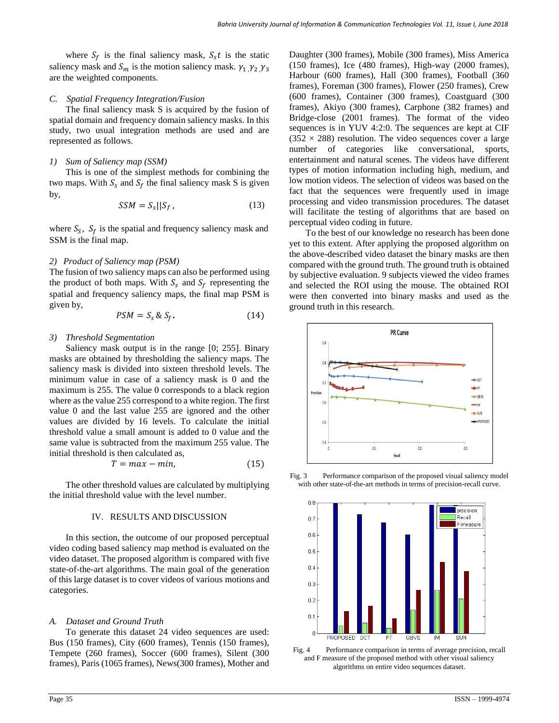where  $S_f$  is the final saliency mask,  $S_s t$  is the static saliency mask and  $S_m$  is the motion saliency mask.  $\gamma_1$ ,  $\gamma_2$ ,  $\gamma_3$ are the weighted components.

## *C. Spatial Frequency Integration/Fusion*

The final saliency mask S is acquired by the fusion of spatial domain and frequency domain saliency masks. In this study, two usual integration methods are used and are represented as follows.

# *1) Sum of Saliency map (SSM)*

This is one of the simplest methods for combining the two maps. With  $S_s$  and  $S_f$  the final saliency mask S is given by,

$$
SSM = S_s||S_f, \t\t(13)
$$

where  $S_S$ ,  $S_f$  is the spatial and frequency saliency mask and SSM is the final map.

# *2) Product of Saliency map (PSM)*

The fusion of two saliency maps can also be performed using the product of both maps. With  $S_s$  and  $S_f$  representing the spatial and frequency saliency maps, the final map PSM is given by,

$$
PSM = S_s \& S_f. \tag{14}
$$

## *3) Threshold Segmentation*

Saliency mask output is in the range [0; 255]. Binary masks are obtained by thresholding the saliency maps. The saliency mask is divided into sixteen threshold levels. The minimum value in case of a saliency mask is 0 and the maximum is 255. The value 0 corresponds to a black region where as the value 255 correspond to a white region. The first value 0 and the last value 255 are ignored and the other values are divided by 16 levels. To calculate the initial threshold value a small amount is added to 0 value and the same value is subtracted from the maximum 255 value. The initial threshold is then calculated as,

$$
T = max - min,\t(15)
$$

The other threshold values are calculated by multiplying the initial threshold value with the level number.

## IV. RESULTS AND DISCUSSION

In this section, the outcome of our proposed perceptual video coding based saliency map method is evaluated on the video dataset. The proposed algorithm is compared with five state-of-the-art algorithms. The main goal of the generation of this large dataset is to cover videos of various motions and categories.

# *A. Dataset and Ground Truth*

To generate this dataset 24 video sequences are used: Bus (150 frames), City (600 frames), Tennis (150 frames), Tempete (260 frames), Soccer (600 frames), Silent (300 frames), Paris (1065 frames), News(300 frames), Mother and Daughter (300 frames), Mobile (300 frames), Miss America (150 frames), Ice (480 frames), High-way (2000 frames), Harbour (600 frames), Hall (300 frames), Football (360 frames), Foreman (300 frames), Flower (250 frames), Crew (600 frames), Container (300 frames), Coastguard (300 frames), Akiyo (300 frames), Carphone (382 frames) and Bridge-close (2001 frames). The format of the video sequences is in YUV 4:2:0. The sequences are kept at CIF  $(352 \times 288)$  resolution. The video sequences cover a large number of categories like conversational, sports, entertainment and natural scenes. The videos have different types of motion information including high, medium, and low motion videos. The selection of videos was based on the fact that the sequences were frequently used in image processing and video transmission procedures. The dataset will facilitate the testing of algorithms that are based on perceptual video coding in future.

To the best of our knowledge no research has been done yet to this extent. After applying the proposed algorithm on the above-described video dataset the binary masks are then compared with the ground truth. The ground truth is obtained by subjective evaluation. 9 subjects viewed the video frames and selected the ROI using the mouse. The obtained ROI were then converted into binary masks and used as the ground truth in this research.





Fig. 3 Performance comparison of the proposed visual saliency model with other state-of-the-art methods in terms of precision-recall curve.

Fig. 4 Performance comparison in terms of average precision, recall and F measure of the proposed method with other visual saliency algorithms on entire video sequences dataset.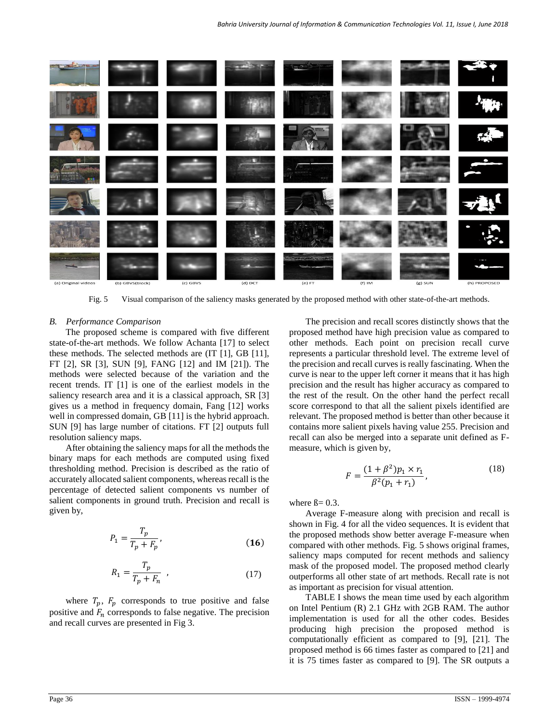

Fig. 5 Visual comparison of the saliency masks generated by the proposed method with other state-of-the-art methods.

#### *B. Performance Comparison*

The proposed scheme is compared with five different state-of-the-art methods. We follow Achanta [17] to select these methods. The selected methods are (IT [1], GB [11], FT [2], SR [3], SUN [9], FANG [12] and IM [21]). The methods were selected because of the variation and the recent trends. IT [1] is one of the earliest models in the saliency research area and it is a classical approach, SR [3] gives us a method in frequency domain, Fang [12] works well in compressed domain, GB [11] is the hybrid approach. SUN [9] has large number of citations. FT [2] outputs full resolution saliency maps.

After obtaining the saliency maps for all the methods the binary maps for each methods are computed using fixed thresholding method. Precision is described as the ratio of accurately allocated salient components, whereas recall is the percentage of detected salient components vs number of salient components in ground truth. Precision and recall is given by,

$$
P_1 = \frac{T_p}{T_p + F_p},\tag{16}
$$

$$
R_1 = \frac{T_p}{T_p + F_n} \quad , \tag{17}
$$

where  $T_p$ ,  $F_p$  corresponds to true positive and false positive and  $F_n$  corresponds to false negative. The precision and recall curves are presented in Fig 3.

The precision and recall scores distinctly shows that the proposed method have high precision value as compared to other methods. Each point on precision recall curve represents a particular threshold level. The extreme level of the precision and recall curves is really fascinating. When the curve is near to the upper left corner it means that it has high precision and the result has higher accuracy as compared to the rest of the result. On the other hand the perfect recall score correspond to that all the salient pixels identified are relevant. The proposed method is better than other because it contains more salient pixels having value 255. Precision and recall can also be merged into a separate unit defined as Fmeasure, which is given by,

$$
F = \frac{(1 + \beta^2)p_1 \times r_1}{\beta^2(p_1 + r_1)},
$$
\n(18)

where  $\beta = 0.3$ .

Average F-measure along with precision and recall is shown in Fig. 4 for all the video sequences. It is evident that the proposed methods show better average F-measure when compared with other methods. Fig. 5 shows original frames, saliency maps computed for recent methods and saliency mask of the proposed model. The proposed method clearly outperforms all other state of art methods. Recall rate is not as important as precision for visual attention.

TABLE I shows the mean time used by each algorithm on Intel Pentium (R) 2.1 GHz with 2GB RAM. The author implementation is used for all the other codes. Besides producing high precision the proposed method is computationally efficient as compared to [9], [21]. The proposed method is 66 times faster as compared to [21] and it is 75 times faster as compared to [9]. The SR outputs a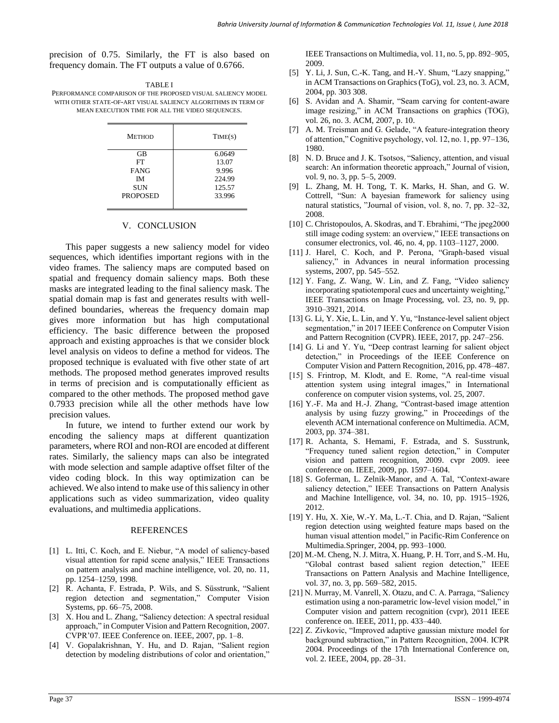precision of 0.75. Similarly, the FT is also based on frequency domain. The FT outputs a value of 0.6766.

| <b>TABLE I</b>                                                |
|---------------------------------------------------------------|
| PERFORMANCE COMPARISON OF THE PROPOSED VISUAL SALIENCY MODEL  |
| WITH OTHER STATE-OF-ART VISUAL SALIENCY ALGORITHMS IN TERM OF |
| MEAN EXECUTION TIME FOR ALL THE VIDEO SEOUENCES.              |

| 6.0649 |
|--------|
|        |
| 13.07  |
| 9.996  |
| 224.99 |
| 125.57 |
| 33.996 |
|        |

#### V. CONCLUSION

This paper suggests a new saliency model for video sequences, which identifies important regions with in the video frames. The saliency maps are computed based on spatial and frequency domain saliency maps. Both these masks are integrated leading to the final saliency mask. The spatial domain map is fast and generates results with welldefined boundaries, whereas the frequency domain map gives more information but has high computational efficiency. The basic difference between the proposed approach and existing approaches is that we consider block level analysis on videos to define a method for videos. The proposed technique is evaluated with five other state of art methods. The proposed method generates improved results in terms of precision and is computationally efficient as compared to the other methods. The proposed method gave 0.7933 precision while all the other methods have low precision values.

In future, we intend to further extend our work by encoding the saliency maps at different quantization parameters, where ROI and non-ROI are encoded at different rates. Similarly, the saliency maps can also be integrated with mode selection and sample adaptive offset filter of the video coding block. In this way optimization can be achieved. We also intend to make use of this saliency in other applications such as video summarization, video quality evaluations, and multimedia applications.

#### REFERENCES

- [1] L. Itti, C. Koch, and E. Niebur, "A model of saliency-based visual attention for rapid scene analysis," IEEE Transactions on pattern analysis and machine intelligence, vol. 20, no. 11, pp. 1254–1259, 1998.
- [2] R. Achanta, F. Estrada, P. Wils, and S. Süsstrunk, "Salient region detection and segmentation," Computer Vision Systems, pp. 66–75, 2008.
- [3] X. Hou and L. Zhang, "Saliency detection: A spectral residual approach," in Computer Vision and Pattern Recognition, 2007. CVPR'07. IEEE Conference on. IEEE, 2007, pp. 1–8.
- [4] V. Gopalakrishnan, Y. Hu, and D. Rajan, "Salient region detection by modeling distributions of color and orientation,"

IEEE Transactions on Multimedia, vol. 11, no. 5, pp. 892–905, 2009.

- [5] Y. Li, J. Sun, C.-K. Tang, and H.-Y. Shum, "Lazy snapping," in ACM Transactions on Graphics (ToG), vol. 23, no. 3. ACM, 2004, pp. 303 308.
- [6] S. Avidan and A. Shamir, "Seam carving for content-aware image resizing," in ACM Transactions on graphics (TOG), vol. 26, no. 3. ACM, 2007, p. 10.
- [7] A. M. Treisman and G. Gelade, "A feature-integration theory of attention," Cognitive psychology, vol. 12, no. 1, pp. 97–136, 1980.
- [8] N. D. Bruce and J. K. Tsotsos, "Saliency, attention, and visual search: An information theoretic approach," Journal of vision, vol. 9, no. 3, pp. 5–5, 2009.
- [9] L. Zhang, M. H. Tong, T. K. Marks, H. Shan, and G. W. Cottrell, "Sun: A bayesian framework for saliency using natural statistics, "Journal of vision, vol. 8, no. 7, pp. 32–32, 2008.
- [10] C. Christopoulos, A. Skodras, and T. Ebrahimi, "The jpeg2000 still image coding system: an overview," IEEE transactions on consumer electronics, vol. 46, no. 4, pp. 1103–1127, 2000.
- [11] J. Harel, C. Koch, and P. Perona, "Graph-based visual saliency," in Advances in neural information processing systems, 2007, pp. 545–552.
- [12] Y. Fang, Z. Wang, W. Lin, and Z. Fang, "Video saliency incorporating spatiotemporal cues and uncertainty weighting," IEEE Transactions on Image Processing, vol. 23, no. 9, pp. 3910–3921, 2014.
- [13] G. Li, Y. Xie, L. Lin, and Y. Yu, "Instance-level salient object segmentation," in 2017 IEEE Conference on Computer Vision and Pattern Recognition (CVPR). IEEE, 2017, pp. 247–256.
- [14] G. Li and Y. Yu, "Deep contrast learning for salient object detection," in Proceedings of the IEEE Conference on Computer Vision and Pattern Recognition, 2016, pp. 478–487.
- [15] S. Frintrop, M. Klodt, and E. Rome, "A real-time visual attention system using integral images," in International conference on computer vision systems, vol. 25, 2007.
- [16] Y.-F. Ma and H.-J. Zhang, "Contrast-based image attention analysis by using fuzzy growing," in Proceedings of the eleventh ACM international conference on Multimedia. ACM, 2003, pp. 374–381.
- [17] R. Achanta, S. Hemami, F. Estrada, and S. Susstrunk, "Frequency tuned salient region detection," in Computer vision and pattern recognition, 2009. cvpr 2009. ieee conference on. IEEE, 2009, pp. 1597–1604.
- [18] S. Goferman, L. Zelnik-Manor, and A. Tal, "Context-aware saliency detection," IEEE Transactions on Pattern Analysis and Machine Intelligence, vol. 34, no. 10, pp. 1915–1926, 2012.
- [19] Y. Hu, X. Xie, W.-Y. Ma, L.-T. Chia, and D. Rajan, "Salient region detection using weighted feature maps based on the human visual attention model," in Pacific-Rim Conference on Multimedia.Springer, 2004, pp. 993–1000.
- [20] M.-M. Cheng, N. J. Mitra, X. Huang, P. H. Torr, and S.-M. Hu, "Global contrast based salient region detection," IEEE Transactions on Pattern Analysis and Machine Intelligence, vol. 37, no. 3, pp. 569–582, 2015.
- [21] N. Murray, M. Vanrell, X. Otazu, and C. A. Parraga, "Saliency estimation using a non-parametric low-level vision model," in Computer vision and pattern recognition (cvpr), 2011 IEEE conference on. IEEE, 2011, pp. 433–440.
- [22] Z. Zivkovic, "Improved adaptive gaussian mixture model for background subtraction," in Pattern Recognition, 2004. ICPR 2004. Proceedings of the 17th International Conference on, vol. 2. IEEE, 2004, pp. 28–31.